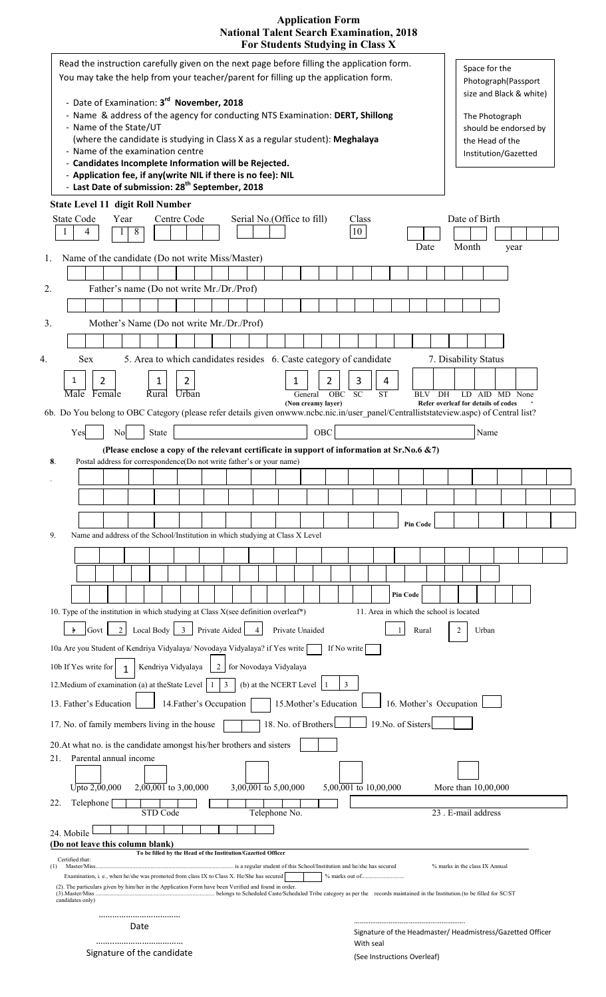### **Application Form National Talent Search Examination, 2018 For Students Studying in Class X**

| Read the instruction carefully given on the next page before filling the application form.<br>You may take the help from your teacher/parent for filling up the application form.<br>- Date of Examination: 3rd November, 2018<br>- Name & address of the agency for conducting NTS Examination: DERT, Shillong<br>- Name of the State/UT<br>(where the candidate is studying in Class X as a regular student): Meghalaya<br>- Name of the examination centre<br>- Candidates Incomplete Information will be Rejected.<br>- Application fee, if any(write NIL if there is no fee): NIL<br>- Last Date of submission: 28 <sup>th</sup> September, 2018<br>State Level 11 digit Roll Number | Space for the<br>Photograph(Passport<br>size and Black & white)<br>The Photograph<br>should be endorsed by<br>the Head of the<br>Institution/Gazetted |
|-------------------------------------------------------------------------------------------------------------------------------------------------------------------------------------------------------------------------------------------------------------------------------------------------------------------------------------------------------------------------------------------------------------------------------------------------------------------------------------------------------------------------------------------------------------------------------------------------------------------------------------------------------------------------------------------|-------------------------------------------------------------------------------------------------------------------------------------------------------|
| <b>State Code</b><br>Serial No. (Office to fill)<br>Year<br>Centre Code<br>8<br>4                                                                                                                                                                                                                                                                                                                                                                                                                                                                                                                                                                                                         | Date of Birth<br>Class<br>10<br>Date<br>Month<br>year                                                                                                 |
| Name of the candidate (Do not write Miss/Master)<br>1.                                                                                                                                                                                                                                                                                                                                                                                                                                                                                                                                                                                                                                    |                                                                                                                                                       |
| Father's name (Do not write Mr./Dr./Prof)<br>2.                                                                                                                                                                                                                                                                                                                                                                                                                                                                                                                                                                                                                                           |                                                                                                                                                       |
|                                                                                                                                                                                                                                                                                                                                                                                                                                                                                                                                                                                                                                                                                           |                                                                                                                                                       |
| Mother's Name (Do not write Mr./Dr./Prof)<br>3.                                                                                                                                                                                                                                                                                                                                                                                                                                                                                                                                                                                                                                           |                                                                                                                                                       |
| 5. Area to which candidates resides 6. Caste category of candidate<br>Sex<br>4.                                                                                                                                                                                                                                                                                                                                                                                                                                                                                                                                                                                                           | 7. Disability Status                                                                                                                                  |
| 1                                                                                                                                                                                                                                                                                                                                                                                                                                                                                                                                                                                                                                                                                         |                                                                                                                                                       |
| 2<br>2<br>1<br>1<br>Urban<br>Male<br>Female<br>Rural<br>General                                                                                                                                                                                                                                                                                                                                                                                                                                                                                                                                                                                                                           | 2<br>3<br>4<br>$\overline{SC}$<br>$\overline{OBC}$<br><b>ST</b><br>DH<br><b>BLV</b><br>LD AID MD None                                                 |
| (Non creamy layer)<br>6b. Do You belong to OBC Category (please refer details given onwww.ncbc.nic.in/user_panel/Centralliststateview.aspc) of Central list?                                                                                                                                                                                                                                                                                                                                                                                                                                                                                                                              | Refer overleaf for details of codes                                                                                                                   |
| State<br>Yes<br>No                                                                                                                                                                                                                                                                                                                                                                                                                                                                                                                                                                                                                                                                        | OBC<br>Name                                                                                                                                           |
| (Please enclose a copy of the relevant certificate in support of information at Sr.No.6 &7)                                                                                                                                                                                                                                                                                                                                                                                                                                                                                                                                                                                               |                                                                                                                                                       |
| Postal address for correspondence(Do not write father's or your name)<br>8.                                                                                                                                                                                                                                                                                                                                                                                                                                                                                                                                                                                                               |                                                                                                                                                       |
|                                                                                                                                                                                                                                                                                                                                                                                                                                                                                                                                                                                                                                                                                           |                                                                                                                                                       |
|                                                                                                                                                                                                                                                                                                                                                                                                                                                                                                                                                                                                                                                                                           |                                                                                                                                                       |
|                                                                                                                                                                                                                                                                                                                                                                                                                                                                                                                                                                                                                                                                                           | <b>Pin Code</b>                                                                                                                                       |
| Name and address of the School/Institution in which studying at Class X Level<br>9.                                                                                                                                                                                                                                                                                                                                                                                                                                                                                                                                                                                                       |                                                                                                                                                       |
|                                                                                                                                                                                                                                                                                                                                                                                                                                                                                                                                                                                                                                                                                           |                                                                                                                                                       |
|                                                                                                                                                                                                                                                                                                                                                                                                                                                                                                                                                                                                                                                                                           |                                                                                                                                                       |
|                                                                                                                                                                                                                                                                                                                                                                                                                                                                                                                                                                                                                                                                                           | <b>Pin Code</b>                                                                                                                                       |
| 10. Type of the institution in which studying at Class X(see definition overleaf*)                                                                                                                                                                                                                                                                                                                                                                                                                                                                                                                                                                                                        | 11. Area in which the school is located                                                                                                               |
| $\overline{3}$<br>Private Aided<br>Govt<br>2 <sub>1</sub><br>Local Body<br>$\mathbf{h}$<br>$\overline{4}$<br>Private Unaided                                                                                                                                                                                                                                                                                                                                                                                                                                                                                                                                                              | Rural<br>2<br>Urban<br>1                                                                                                                              |
| 10a Are you Student of Kendriya Vidyalaya/ Novodaya Vidyalaya? if Yes write                                                                                                                                                                                                                                                                                                                                                                                                                                                                                                                                                                                                               | If No write                                                                                                                                           |
| 10b If Yes write for<br>Kendriya Vidyalaya<br>for Novodaya Vidyalaya<br>$\overline{2}$                                                                                                                                                                                                                                                                                                                                                                                                                                                                                                                                                                                                    |                                                                                                                                                       |
| $\overline{3}$<br>(b) at the NCERT Level<br>12. Medium of examination (a) at the State Level                                                                                                                                                                                                                                                                                                                                                                                                                                                                                                                                                                                              | 3                                                                                                                                                     |
| 14. Father's Occupation<br>15. Mother's Education<br>13. Father's Education                                                                                                                                                                                                                                                                                                                                                                                                                                                                                                                                                                                                               | 16. Mother's Occupation                                                                                                                               |
| 18. No. of Brothers<br>17. No. of family members living in the house                                                                                                                                                                                                                                                                                                                                                                                                                                                                                                                                                                                                                      | 19. No. of Sisters                                                                                                                                    |
| 20. At what no. is the candidate amongst his/her brothers and sisters                                                                                                                                                                                                                                                                                                                                                                                                                                                                                                                                                                                                                     |                                                                                                                                                       |
| Parental annual income<br>21.                                                                                                                                                                                                                                                                                                                                                                                                                                                                                                                                                                                                                                                             |                                                                                                                                                       |
| $2,00,001$ to 3,00,000<br>$3,00,001$ to $5,00,000$<br>Upto 2,00,000                                                                                                                                                                                                                                                                                                                                                                                                                                                                                                                                                                                                                       | 5,00,001 to 10,00,000<br>More than 10,00,000                                                                                                          |
| Telephone<br>22.                                                                                                                                                                                                                                                                                                                                                                                                                                                                                                                                                                                                                                                                          |                                                                                                                                                       |
| STD Code<br>Telephone No.                                                                                                                                                                                                                                                                                                                                                                                                                                                                                                                                                                                                                                                                 | 23 . E-mail address                                                                                                                                   |
| 24. Mobile<br>(Do not leave this column blank)                                                                                                                                                                                                                                                                                                                                                                                                                                                                                                                                                                                                                                            |                                                                                                                                                       |
| To be filled by the Head of the Institution/Gazetted Officer<br>Certified that:<br>Master/Miss                                                                                                                                                                                                                                                                                                                                                                                                                                                                                                                                                                                            | % marks in the class IX Annual                                                                                                                        |
| is a regular student of this School/Institution and he/she has secured<br>(1)<br>Examination, i. e., when he/she was promoted from class IX to Class X. He/She has secured                                                                                                                                                                                                                                                                                                                                                                                                                                                                                                                |                                                                                                                                                       |
| (2). The particulars given by him/her in the Application Form have been Verified and found in order.<br>candidates only)                                                                                                                                                                                                                                                                                                                                                                                                                                                                                                                                                                  |                                                                                                                                                       |
|                                                                                                                                                                                                                                                                                                                                                                                                                                                                                                                                                                                                                                                                                           |                                                                                                                                                       |
| Date                                                                                                                                                                                                                                                                                                                                                                                                                                                                                                                                                                                                                                                                                      | Signature of the Headmaster/ Headmistress/Gazetted Officer                                                                                            |
|                                                                                                                                                                                                                                                                                                                                                                                                                                                                                                                                                                                                                                                                                           | With seal                                                                                                                                             |

(See Instructions Overleaf)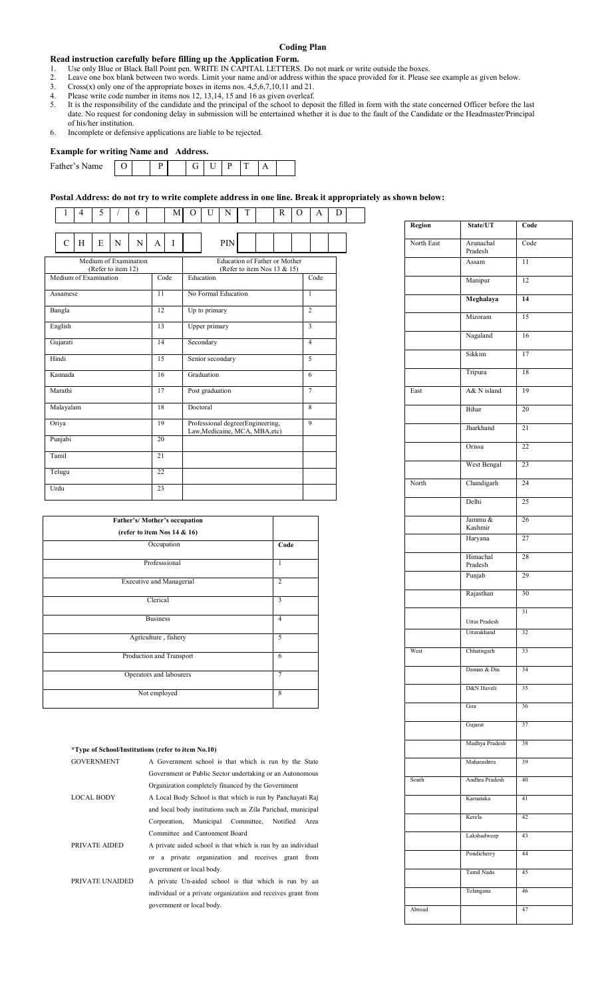### **Coding Plan**

#### **Read instruction carefully before filling up the Application Form.**

- 1. Use only Blue or Black Ball Point pen. WRITE IN CAPITAL LETTERS. Do not mark or write outside the boxes.
- 2. Leave one box blank between two words. Limit your name and/or address within the space provided for it. Please see example as given below.
- 3. Cross $(x)$  only one of the appropriate boxes in items nos.  $4,5,6,7,10,11$  and  $21$ .
- 4. Please write code number in items nos 12, 13, 14, 15 and 16 as given overleaf.<br>5. It is the responsibility of the candidate and the principal of the school to depote
- 5. It is the responsibility of the candidate and the principal of the school to deposit the filled in form with the state concerned Officer before the last date. No request for condoning delay in submission will be entertained whether it is due to the fault of the Candidate or the Headmaster/Principal of his/her institution.
- 6. Incomplete or defensive applications are liable to be rejected.

#### **Example for writing Name and Address.**

| Ð<br>$\sim$ $\sim$<br>◡<br>÷<br>. . | <br>÷ |  |  |  |  |  |
|-------------------------------------|-------|--|--|--|--|--|
|                                     |       |  |  |  |  |  |

### **Postal Address: do not try to write complete address in one line. Break it appropriately as shown below:**

|                                             | 1                     | 4 | 5 |   | 6 |    | M    | $\Omega$ | U                                                                  | N                                    | T |                             | R | $\Omega$ | A              | D |  |  |  |  |  |  |                |  |
|---------------------------------------------|-----------------------|---|---|---|---|----|------|----------|--------------------------------------------------------------------|--------------------------------------|---|-----------------------------|---|----------|----------------|---|--|--|--|--|--|--|----------------|--|
|                                             |                       |   |   |   |   |    |      |          |                                                                    |                                      |   |                             |   |          |                |   |  |  |  |  |  |  |                |  |
|                                             | $\mathcal{C}$         | H | E | N | N | A  | I    |          |                                                                    | PIN                                  |   |                             |   |          |                |   |  |  |  |  |  |  |                |  |
| Medium of Examination<br>(Refer to item 12) |                       |   |   |   |   |    |      |          |                                                                    | <b>Education of Father or Mother</b> |   | (Refer to item Nos 13 & 15) |   |          |                |   |  |  |  |  |  |  |                |  |
|                                             | Medium of Examination |   |   |   |   |    | Code |          | Education                                                          |                                      |   |                             |   |          | Code           |   |  |  |  |  |  |  |                |  |
|                                             | Assamese              |   |   |   |   | 11 |      |          | No Formal Education                                                |                                      |   |                             |   |          | $\mathbf{1}$   |   |  |  |  |  |  |  |                |  |
|                                             | Bangla                |   |   |   |   | 12 |      |          | Up to primary                                                      |                                      |   |                             |   |          | $\overline{c}$ |   |  |  |  |  |  |  |                |  |
|                                             | English               |   |   |   |   | 13 |      |          | Upper primary<br>3                                                 |                                      |   |                             |   |          |                |   |  |  |  |  |  |  |                |  |
|                                             | Gujarati              |   |   |   |   | 14 |      |          | Secondary                                                          |                                      |   |                             |   |          | $\overline{4}$ |   |  |  |  |  |  |  |                |  |
|                                             | Hindi                 |   |   |   |   | 15 |      |          | $\overline{5}$<br>Senior secondary                                 |                                      |   |                             |   |          |                |   |  |  |  |  |  |  |                |  |
|                                             | Kannada               |   |   |   |   | 16 |      |          | Graduation                                                         |                                      |   |                             |   |          | 6              |   |  |  |  |  |  |  |                |  |
|                                             | Marathi               |   |   |   |   | 17 |      |          | Post graduation                                                    |                                      |   |                             |   |          | $\overline{7}$ |   |  |  |  |  |  |  |                |  |
|                                             | Malayalam             |   |   |   |   | 18 |      | Doctoral |                                                                    |                                      |   |                             |   | 8        |                |   |  |  |  |  |  |  |                |  |
|                                             | Oriya                 |   |   |   |   |    |      |          | Professional degree(Engineering,<br>Law, Medicaine, MCA, MBA, etc) |                                      |   |                             |   |          |                |   |  |  |  |  |  |  | $\overline{9}$ |  |
|                                             | Punjabi               |   |   |   |   | 20 |      |          |                                                                    |                                      |   |                             |   |          |                |   |  |  |  |  |  |  |                |  |
|                                             | Tamil                 |   |   |   |   | 21 |      |          |                                                                    |                                      |   |                             |   |          |                |   |  |  |  |  |  |  |                |  |
|                                             | Telugu                |   |   |   |   | 22 |      |          |                                                                    |                                      |   |                             |   |          |                |   |  |  |  |  |  |  |                |  |
|                                             | Urdu                  |   |   |   |   | 23 |      |          |                                                                    |                                      |   |                             |   |          |                |   |  |  |  |  |  |  |                |  |

| Father's/Mother's occupation    |                |
|---------------------------------|----------------|
| (refer to item Nos 14 & 16)     |                |
| Occupation                      | Code           |
| Professsional                   | 1              |
| <b>Executive and Managerial</b> | $\overline{2}$ |
| Clerical                        | $\overline{3}$ |
| <b>Business</b>                 | $\overline{4}$ |
| Agriculture, fishery            | 5              |
| Production and Transport        | 6              |
| Operators and labourers         | $\overline{7}$ |
| Not employed                    | 8              |

#### **\*Type of School/Institutions (refer to item No.10)**

| <b>GOVERNMENT</b> | A Government school is that which is run by the State        |
|-------------------|--------------------------------------------------------------|
|                   | Government or Public Sector undertaking or an Autonomous     |
|                   | Organization completely financed by the Government           |
| <b>LOCAL BODY</b> | A Local Body School is that which is run by Panchayati Raj   |
|                   | and local body institutions such as Zila Parichad, municipal |
|                   | Municipal Committee, Notified<br>Corporation.<br>Area        |
|                   | Committee and Cantonment Board                               |
| PRIVATE AIDED     | A private aided school is that which is run by an individual |
|                   | or a private organization and receives grant from            |
|                   | government or local body.                                    |
| PRIVATE UNAIDED   | A private Un-aided school is that which is run by an         |
|                   | individual or a private organization and receives grant from |
|                   | government or local body.                                    |

| Region     | State/UT             | Code            |
|------------|----------------------|-----------------|
| North East | Arunachal<br>Pradesh | Code            |
|            | Assam                | 11              |
|            | Manipur              | $\overline{12}$ |
|            | Meghalaya            | 14              |
|            | Mizoram              | 15              |
|            | Nagaland             | 16              |
|            | Sikkim               | 17              |
|            | Tripura              | 18              |
| East       | A& N island          | 19              |
|            | Bihar                | 20              |
|            | Jharkhand            | 21              |
|            | Orissa               | $\overline{22}$ |
|            | West Bengal          | 23              |
| North      | Chandigarh           | 24              |
|            | Delhi                | 25              |
|            | Jammu &<br>Kashmir   | 26              |
|            | Haryana              | 27              |
|            | Himachal<br>Pradesh  | 28              |
|            | Punjab               | 29              |
|            | Rajasthan            | 30              |
|            | Uttar Pradesh        | 31              |
|            | Uttarakhand          | 32              |
| West       | Chhatisgarh          | 33              |
|            | Daman & Diu          | 34              |
|            | D&N Haveli           | 35              |
|            | Goa                  | 36              |
|            | Gujarat              | 37              |
|            | Madhya Pradesh       | 38              |
|            | Maharashtra          | 39              |
| South      | Andhra Pradesh       | 40              |
|            | Karnataka            | 41              |
|            | Kerela               | 42              |
|            | Lakshadweep          | 43              |
|            | Pondicherry          | 44              |
|            | Tamil Nadu           | 45              |
|            | Telangana            | 46              |
| Abroad     |                      | 47              |
|            |                      |                 |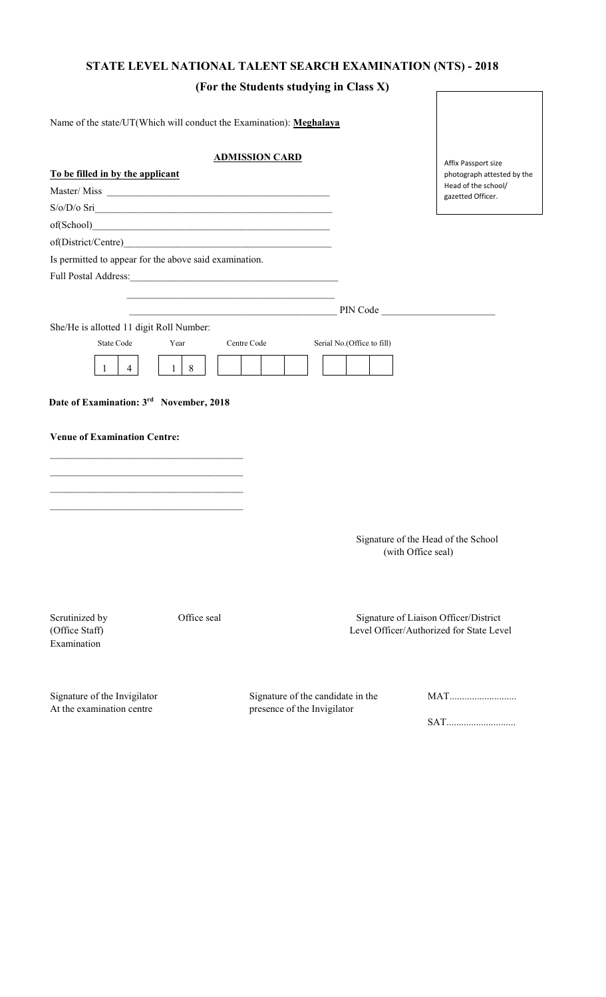| <b>STATE LEVEL NATIONAL TALENT SEARCH EXAMINATION (NTS) - 2018</b> |  |
|--------------------------------------------------------------------|--|
| (For the Students studying in Class X)                             |  |

| Name of the state/UT(Which will conduct the Examination): Meghalaya                       |                           |                                                                  |                                                                                   |                                                   |
|-------------------------------------------------------------------------------------------|---------------------------|------------------------------------------------------------------|-----------------------------------------------------------------------------------|---------------------------------------------------|
| To be filled in by the applicant                                                          |                           | <b>ADMISSION CARD</b>                                            |                                                                                   | Affix Passport size<br>photograph attested by the |
|                                                                                           |                           |                                                                  |                                                                                   | Head of the school/                               |
| $S/O/D/O$ $Sri$                                                                           |                           |                                                                  |                                                                                   | gazetted Officer.                                 |
|                                                                                           |                           |                                                                  |                                                                                   |                                                   |
|                                                                                           |                           |                                                                  |                                                                                   |                                                   |
| Is permitted to appear for the above said examination.                                    |                           |                                                                  |                                                                                   |                                                   |
|                                                                                           |                           |                                                                  |                                                                                   |                                                   |
|                                                                                           |                           |                                                                  |                                                                                   |                                                   |
|                                                                                           |                           |                                                                  |                                                                                   |                                                   |
| She/He is allotted 11 digit Roll Number:                                                  |                           |                                                                  |                                                                                   |                                                   |
| <b>State Code</b><br>$\overline{4}$<br>$\mathbf{1}$                                       | Year<br>8<br>$\mathbf{1}$ | Centre Code                                                      | Serial No.(Office to fill)                                                        |                                                   |
| Date of Examination: 3rd November, 2018<br><b>Venue of Examination Centre:</b>            |                           |                                                                  |                                                                                   |                                                   |
|                                                                                           |                           |                                                                  |                                                                                   |                                                   |
| the control of the control of the control of the control of the control of the control of |                           |                                                                  |                                                                                   |                                                   |
|                                                                                           |                           |                                                                  | Signature of the Head of the School<br>(with Office seal)                         |                                                   |
| Scrutinized by<br>(Office Staff)<br>Examination                                           | Office seal               |                                                                  | Signature of Liaison Officer/District<br>Level Officer/Authorized for State Level |                                                   |
| Signature of the Invigilator<br>At the examination centre                                 |                           | Signature of the candidate in the<br>presence of the Invigilator |                                                                                   | <b>MAT</b>                                        |

SAT............................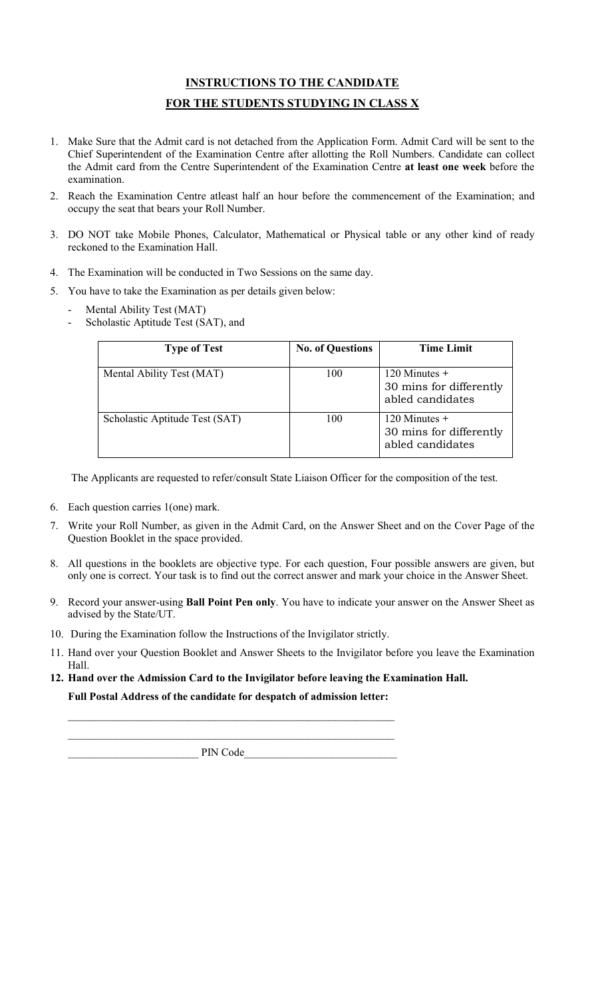# **INSTRUCTIONS TO THE CANDIDATE FOR THE STUDENTS STUDYING IN CLASS X**

- 1. Make Sure that the Admit card is not detached from the Application Form. Admit Card will be sent to the Chief Superintendent of the Examination Centre after allotting the Roll Numbers. Candidate can collect the Admit card from the Centre Superintendent of the Examination Centre **at least one week** before the examination.
- 2. Reach the Examination Centre atleast half an hour before the commencement of the Examination; and occupy the seat that bears your Roll Number.
- 3. DO NOT take Mobile Phones, Calculator, Mathematical or Physical table or any other kind of ready reckoned to the Examination Hall.
- 4. The Examination will be conducted in Two Sessions on the same day.
- 5. You have to take the Examination as per details given below:
	- Mental Ability Test (MAT)
	- Scholastic Aptitude Test (SAT), and

| <b>Type of Test</b>            | <b>No. of Questions</b> | <b>Time Limit</b>                                              |
|--------------------------------|-------------------------|----------------------------------------------------------------|
| Mental Ability Test (MAT)      | 100                     | 120 Minutes +<br>30 mins for differently<br>abled candidates   |
| Scholastic Aptitude Test (SAT) | 100                     | 120 Minutes $+$<br>30 mins for differently<br>abled candidates |

The Applicants are requested to refer/consult State Liaison Officer for the composition of the test.

- 6. Each question carries 1(one) mark.
- 7. Write your Roll Number, as given in the Admit Card, on the Answer Sheet and on the Cover Page of the Question Booklet in the space provided.
- 8. All questions in the booklets are objective type. For each question, Four possible answers are given, but only one is correct. Your task is to find out the correct answer and mark your choice in the Answer Sheet.
- 9. Record your answer-using **Ball Point Pen only**. You have to indicate your answer on the Answer Sheet as advised by the State/UT.
- 10. During the Examination follow the Instructions of the Invigilator strictly.
- 11. Hand over your Question Booklet and Answer Sheets to the Invigilator before you leave the Examination Hall.

# **12. Hand over the Admission Card to the Invigilator before leaving the Examination Hall.**

**Full Postal Address of the candidate for despatch of admission letter:**

 $\mathcal{L}_\text{max}$  , and the contract of the contract of the contract of the contract of the contract of the contract of \_\_\_\_\_\_\_\_\_\_\_\_\_\_\_\_\_\_\_\_\_\_\_\_\_\_\_\_\_\_\_\_\_\_\_\_\_\_\_\_\_\_\_\_\_\_\_\_\_\_\_\_\_\_\_\_\_\_\_\_

PIN Code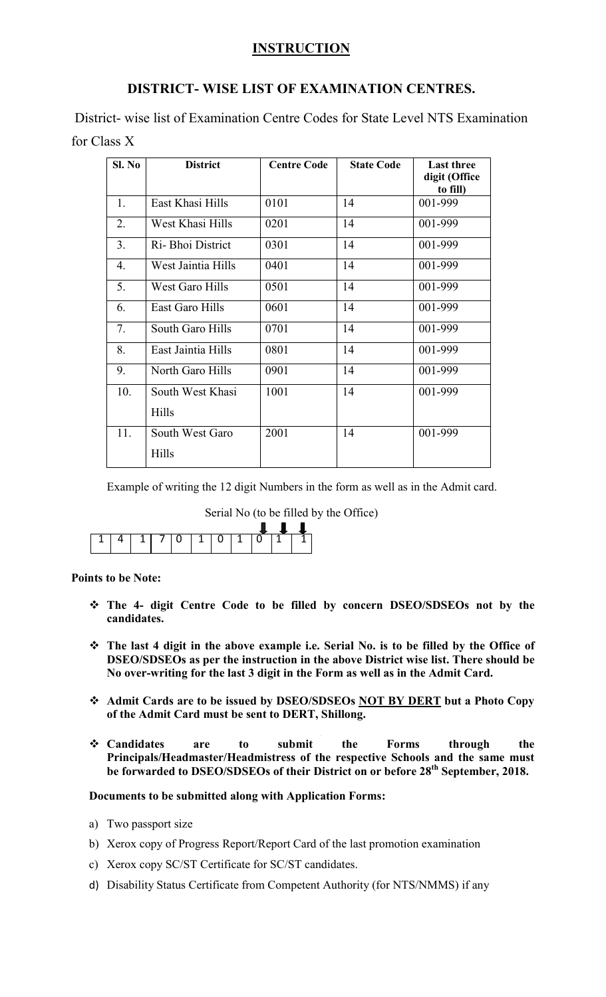# **INSTRUCTION**

## **DISTRICT- WISE LIST OF EXAMINATION CENTRES.**

District- wise list of Examination Centre Codes for State Level NTS Examination for Class X

| Sl. No         | <b>District</b>    | <b>Centre Code</b> | <b>State Code</b> | <b>Last three</b><br>digit (Office |
|----------------|--------------------|--------------------|-------------------|------------------------------------|
|                |                    |                    |                   | to fill)                           |
| 1.             | East Khasi Hills   | 0101               | 14                | 001-999                            |
| 2.             | West Khasi Hills   | 0201               | 14                | 001-999                            |
| 3 <sub>1</sub> | Ri- Bhoi District  | 0301               | 14                | 001-999                            |
| 4.             | West Jaintia Hills | 0401               | 14                | 001-999                            |
| 5.             | West Garo Hills    | 0501               | 14                | 001-999                            |
| 6.             | East Garo Hills    | 0601               | 14                | 001-999                            |
| 7.             | South Garo Hills   | 0701               | 14                | 001-999                            |
| 8.             | East Jaintia Hills | 0801               | 14                | 001-999                            |
| 9.             | North Garo Hills   | 0901               | 14                | 001-999                            |
| 10.            | South West Khasi   | 1001               | 14                | 001-999                            |
|                | Hills              |                    |                   |                                    |
| 11.            | South West Garo    | 2001               | 14                | 001-999                            |
|                | Hills              |                    |                   |                                    |

Example of writing the 12 digit Numbers in the form as well as in the Admit card.

Serial No (to be filled by the Office)

|  |                   |  |  |  | 1 I I |  |
|--|-------------------|--|--|--|-------|--|
|  | $4$ 1 7 0 1 0 1 0 |  |  |  |       |  |
|  |                   |  |  |  |       |  |

### **Points to be Note:**

- **The 4- digit Centre Code to be filled by concern DSEO/SDSEOs not by the candidates.**
- **The last 4 digit in the above example i.e. Serial No. is to be filled by the Office of DSEO/SDSEOs as per the instruction in the above District wise list. There should be No over-writing for the last 3 digit in the Form as well as in the Admit Card.**
- **Admit Cards are to be issued by DSEO/SDSEOs NOT BY DERT but a Photo Copy of the Admit Card must be sent to DERT, Shillong.**
- **Candidates are to submit the Forms through the Principals/Headmaster/Headmistress of the respective Schools and the same must be forwarded to DSEO/SDSEOs of their District on or before 28th September, 2018.**

## **Documents to be submitted along with Application Forms:**

- a) Two passport size
- b) Xerox copy of Progress Report/Report Card of the last promotion examination
- c) Xerox copy SC/ST Certificate for SC/ST candidates.
- d) Disability Status Certificate from Competent Authority (for NTS/NMMS) if any